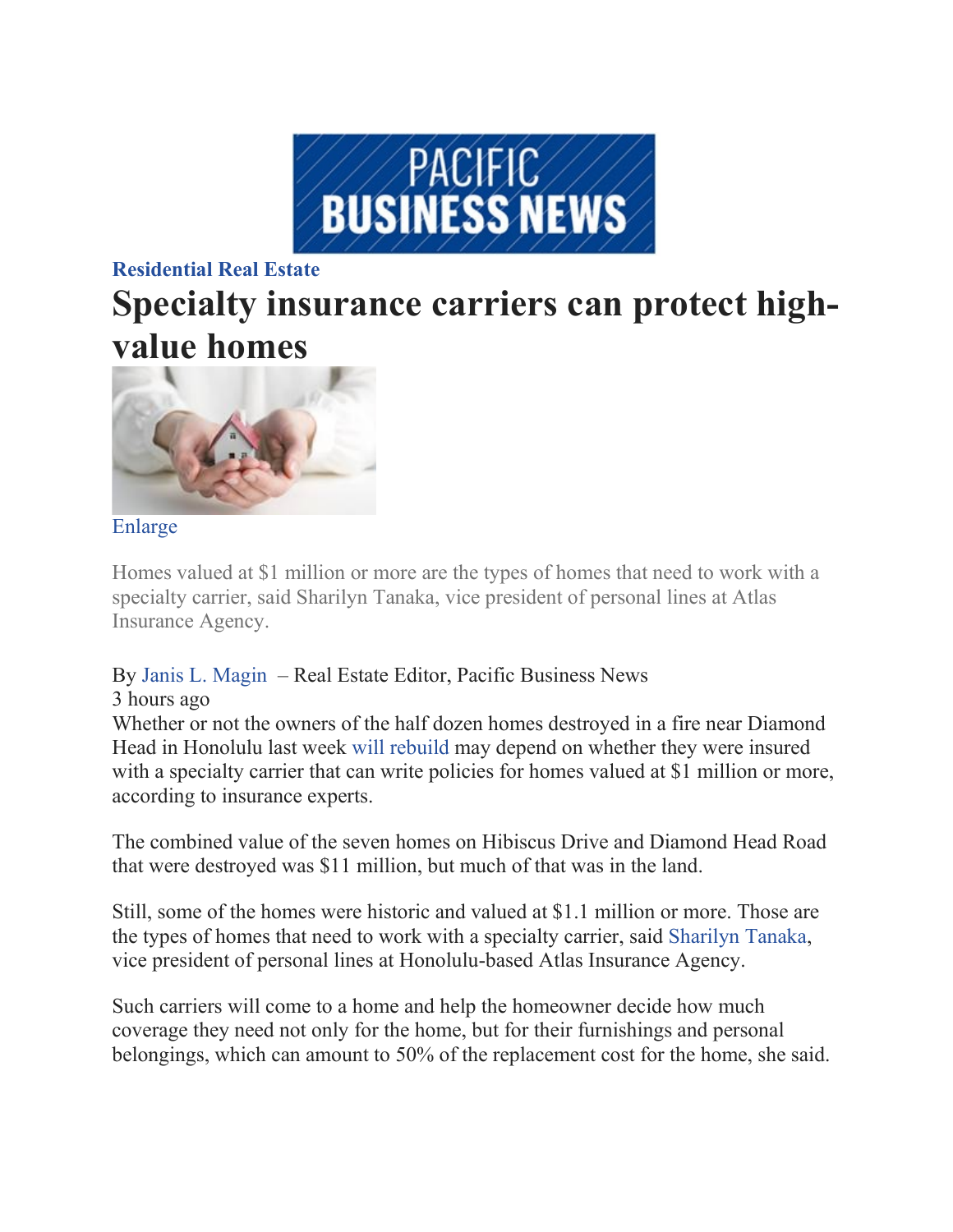

### **[Residential Real Estate](https://nam02.safelinks.protection.outlook.com/?url=https%3A%2F%2Fwww.bizjournals.com%2Fpacific%2Fnews%2Fresidential-real-estate%2F&data=02%7C01%7Csomura%40atlasinsurance.com%7C5f1dccad6eb4412ccf9d08d7a8e7caa8%7C5261cf5386c547be8e4cee60505d0312%7C0%7C0%7C637163585832864757&sdata=cinEXgZP0PP0MHvDc%2Bwp%2BeNKodzCk%2FdDsufq%2BHu2blk%3D&reserved=0)**

# **Specialty insurance carriers can protect highvalue homes**



#### [Enlarge](https://nam02.safelinks.protection.outlook.com/?url=https%3A%2F%2Fwww.bizjournals.com%2F&data=02%7C01%7Csomura%40atlasinsurance.com%7C5f1dccad6eb4412ccf9d08d7a8e7caa8%7C5261cf5386c547be8e4cee60505d0312%7C0%7C0%7C637163585832874714&sdata=ONj1C%2FGID20FPcmnK5G1%2BWVFqRCpkYDs%2BEP%2FwyPTU7Y%3D&reserved=0)

Homes valued at \$1 million or more are the types of homes that need to work with a specialty carrier, said Sharilyn Tanaka, vice president of personal lines at Atlas Insurance Agency.

## By Janis L. [Magin](https://nam02.safelinks.protection.outlook.com/?url=https%3A%2F%2Fwww.bizjournals.com%2Fpacific%2Fbio%2F4701%2FJanis%2BL.%2BMagin&data=02%7C01%7Csomura%40atlasinsurance.com%7C5f1dccad6eb4412ccf9d08d7a8e7caa8%7C5261cf5386c547be8e4cee60505d0312%7C0%7C0%7C637163585832874714&sdata=enCNyY85d7%2Fa9nmMg%2BdF%2Bis7llc8W6nVlpcOGto9DOQ%3D&reserved=0) – Real Estate Editor, Pacific Business News

#### 3 hours ago

Whether or not the owners of the half dozen homes destroyed in a fire near Diamond Head in Honolulu last week [will rebuild](https://nam02.safelinks.protection.outlook.com/?url=https%3A%2F%2Fwww.bizjournals.com%2Fpacific%2Fnews%2F2020%2F01%2F21%2Finsurance-may-not-be-enough-to-rebuild-diamond.html&data=02%7C01%7Csomura%40atlasinsurance.com%7C5f1dccad6eb4412ccf9d08d7a8e7caa8%7C5261cf5386c547be8e4cee60505d0312%7C0%7C0%7C637163585832874714&sdata=NuJWIXLMXw2zP0B0veqkD2H6cW%2FBiXgQiqbZO02m%2BFU%3D&reserved=0) may depend on whether they were insured with a specialty carrier that can write policies for homes valued at \$1 million or more, according to insurance experts.

The combined value of the seven homes on Hibiscus Drive and Diamond Head Road that were destroyed was \$11 million, but much of that was in the land.

Still, some of the homes were historic and valued at \$1.1 million or more. Those are the types of homes that need to work with a specialty carrier, said [Sharilyn Tanaka,](https://nam02.safelinks.protection.outlook.com/?url=https%3A%2F%2Fwww.bizjournals.com%2Fpacific%2Fsearch%2Fresults%3Fq%3DSharilyn%2520Tanaka&data=02%7C01%7Csomura%40atlasinsurance.com%7C5f1dccad6eb4412ccf9d08d7a8e7caa8%7C5261cf5386c547be8e4cee60505d0312%7C0%7C0%7C637163585832884661&sdata=ro%2FsMp3F0MFB2U1XmYwPcTCl2emDRBhYXKK8g2Qf6Yo%3D&reserved=0) vice president of personal lines at Honolulu-based Atlas Insurance Agency.

Such carriers will come to a home and help the homeowner decide how much coverage they need not only for the home, but for their furnishings and personal belongings, which can amount to 50% of the replacement cost for the home, she said.